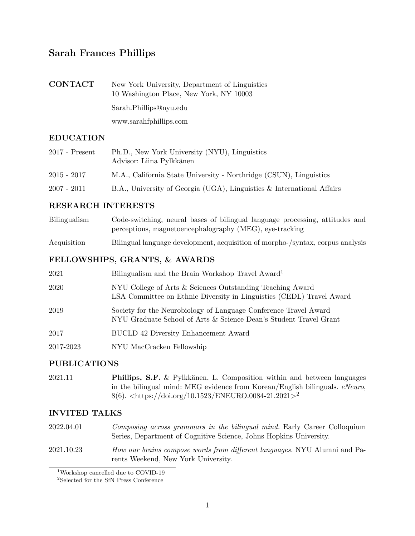# Sarah Frances Phillips

| CONTACT | New York University, Department of Linguistics<br>10 Washington Place, New York, NY 10003 |
|---------|-------------------------------------------------------------------------------------------|
|         | Sarah.Phillips@nyu.edu                                                                    |
|         | www.sarahfphillips.com                                                                    |

## EDUCATION

| $2017$ - Present | Ph.D., New York University (NYU), Linguistics<br>Advisor: Liina Pylkkänen |
|------------------|---------------------------------------------------------------------------|
| $2015 - 2017$    | M.A., California State University - Northridge (CSUN), Linguistics        |
| $2007 - 2011$    | B.A., University of Georgia (UGA), Linguistics & International Affairs    |

#### RESEARCH INTERESTS

| Bilingualism | Code-switching, neural bases of bilingual language processing, attitudes and   |
|--------------|--------------------------------------------------------------------------------|
|              | perceptions, magnetoencephalography (MEG), eye-tracking                        |
| Acquisition  | Bilingual language development, acquisition of morpho-/syntax, corpus analysis |

### FELLOWSHIPS, GRANTS, & AWARDS

| 2021      | Bilingualism and the Brain Workshop Travel Award <sup>1</sup>                                                                         |
|-----------|---------------------------------------------------------------------------------------------------------------------------------------|
| 2020      | NYU College of Arts & Sciences Outstanding Teaching Award<br>LSA Committee on Ethnic Diversity in Linguistics (CEDL) Travel Award     |
| 2019      | Society for the Neurobiology of Language Conference Travel Award<br>NYU Graduate School of Arts & Science Dean's Student Travel Grant |
| 2017      | <b>BUCLD 42 Diversity Enhancement Award</b>                                                                                           |
| 2017-2023 | NYU MacCracken Fellowship                                                                                                             |

#### PUBLICATIONS

2021.11 **Phillips, S.F.** & Pylkkänen, L. Composition within and between languages in the bilingual mind: MEG evidence from Korean/English bilinguals. *eNeuro*, 8(6). *<*<https://doi.org/10.1523/ENEURO.0084-21.2021>*>*[2](#page-0-1)

## INVITED TALKS

- 2022.04.01 *Composing across grammars in the bilingual mind.* Early Career Colloquium Series, Department of Cognitive Science, Johns Hopkins University.
- 2021.10.23 *How our brains compose words from di*ff*erent languages.* NYU Alumni and Parents Weekend, New York University.

<span id="page-0-0"></span> $^1\rm{Workshop}$  cancelled due to COVID-19

<span id="page-0-1"></span><sup>2</sup>Selected for the SfN Press Conference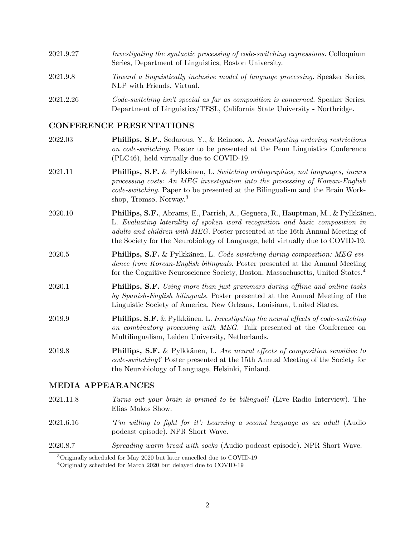| 2021.9.27 | Investigating the syntactic processing of code-switching expressions. Colloquium<br>Series, Department of Linguistics, Boston University.                     |
|-----------|---------------------------------------------------------------------------------------------------------------------------------------------------------------|
| 2021.9.8  | Toward a linguistically inclusive model of language processing. Speaker Series,<br>NLP with Friends, Virtual.                                                 |
| 2021.2.26 | Code-switching isn't special as far as composition is concerned. Speaker Series,<br>Department of Linguistics/TESL, California State University - Northridge. |

#### CONFERENCE PRESENTATIONS

- 2022.03 Phillips, S.F., Sedarous, Y., & Reinoso, A. *Investigating ordering restrictions on code-switching*. Poster to be presented at the Penn Linguistics Conference (PLC46), held virtually due to COVID-19.
- 2021.11 **Phillips, S.F.** & Pylkkänen, L. *Switching orthographies, not languages, incurs processing costs: An MEG investigation into the processing of Korean-English code-switching.* Paper to be presented at the Bilingualism and the Brain Workshop, Trømsø, Norway. [3](#page-1-0)
- 2020.10 **Phillips, S.F.**, Abrams, E., Parrish, A., Geguera, R., Hauptman, M., & Pylkkänen, L. *Evaluating laterality of spoken word recognition and basic composition in adults and children with MEG.* Poster presented at the 16th Annual Meeting of the Society for the Neurobiology of Language, held virtually due to COVID-19.
- 2020.5 **Phillips, S.F.** & Pylkkänen, L. *Code-switching during composition: MEG evidence from Korean-English bilinguals.* Poster presented at the Annual Meeting for the Cognitive Neuroscience Society, Boston, Massachusetts, United States. [4](#page-1-1)
- 2020.1 Phillips, S.F. *Using more than just grammars during o*ffl*ine and online tasks by Spanish-English bilinguals.* Poster presented at the Annual Meeting of the Linguistic Society of America, New Orleans, Louisiana, United States.
- 2019.9 **Phillips, S.F.** & Pylkkänen, L. *Investigating the neural effects of code-switching on combinatory processing with MEG.* Talk presented at the Conference on Multilingualism, Leiden University, Netherlands.
- 2019.8 **Phillips, S.F.** & Pylkkänen, L. *Are neural effects of composition sensitive to code-switching?* Poster presented at the 15th Annual Meeting of the Society for the Neurobiology of Language, Helsinki, Finland.

#### MEDIA APPEARANCES

- 2021.11.8 *Turns out your brain is primed to be bilingual!* (Live Radio [Interview\).](https://www.iheartradio.ca/cjad/shows/the-elias-makos-show-1.8622576) The Elias Makos Show.
- 2021.6.16 *'I'm willing to fight for it': Learning a second language as an adult* (Audio podcast episode). NPR [Short](https://www.npr.org/2021/06/14/1006247481/im-willing-to-fight-for-it-learning-a-second-language-as-an-adult) Wave.
- 2020.8.7 *Spreading warm bread with socks* (Audio podcast episode). NPR [Short](https://www.npr.org/2020/08/06/899715559/micro-wave-spreading-warm-bread-with-socks) Wave.

<span id="page-1-0"></span><sup>3</sup>Originally scheduled for May 2020 but later cancelled due to COVID-19

<span id="page-1-1"></span><sup>4</sup>Originally scheduled for March 2020 but delayed due to COVID-19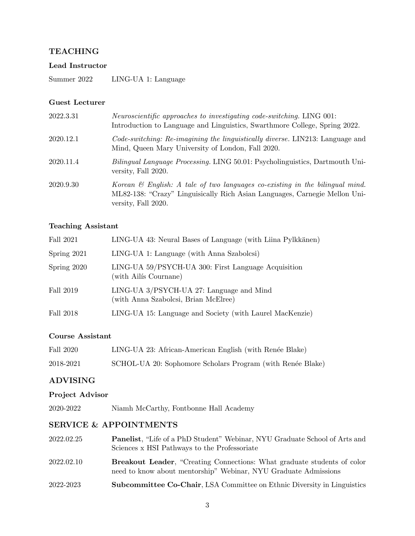### TEACHING

#### Lead Instructor

Summer 2022 LING-UA 1: Language

#### Guest Lecturer

| 2022.3.31 | <i>Neuroscientific approaches to investigating code-switching.</i> LING 001:<br>Introduction to Language and Linguistics, Swarthmore College, Spring 2022.                        |
|-----------|-----------------------------------------------------------------------------------------------------------------------------------------------------------------------------------|
| 2020.12.1 | Code-switching: Re-imagining the linguistically diverse. LIN213: Language and<br>Mind, Queen Mary University of London, Fall 2020.                                                |
| 2020.11.4 | <i>Bilingual Language Processing.</i> LING 50.01: Psycholinguistics, Dartmouth Uni-<br>versity, Fall 2020.                                                                        |
| 2020.9.30 | Korean & English: A tale of two languages co-existing in the bilingual mind.<br>ML82-138: "Crazy" Linguisically Rich Asian Languages, Carnegie Mellon Uni-<br>versity, Fall 2020. |

#### Teaching Assistant

| Fall 2021   | LING-UA 43: Neural Bases of Language (with Liina Pylkkänen)                      |
|-------------|----------------------------------------------------------------------------------|
| Spring 2021 | LING-UA 1: Language (with Anna Szabolcsi)                                        |
| Spring 2020 | LING-UA 59/PSYCH-UA 300: First Language Acquisition<br>(with Ailis Cournane)     |
| Fall 2019   | LING-UA 3/PSYCH-UA 27: Language and Mind<br>(with Anna Szabolcsi, Brian McElree) |
| Fall 2018   | LING-UA 15: Language and Society (with Laurel MacKenzie)                         |

## Course Assistant

| Fall 2020 | LING-UA 23: African-American English (with Renée Blake)    |
|-----------|------------------------------------------------------------|
| 2018-2021 | SCHOL-UA 20: Sophomore Scholars Program (with Renée Blake) |

## ADVISING

#### Project Advisor

2020-2022 Niamh McCarthy, Fontbonne Hall Academy

## SERVICE & APPOINTMENTS

| 2022.02.25 | <b>Panelist</b> , "Life of a PhD Student" Webinar, NYU Graduate School of Arts and<br>Sciences x HSI Pathways to the Professoriate                |
|------------|---------------------------------------------------------------------------------------------------------------------------------------------------|
| 2022.02.10 | <b>Breakout Leader, "Creating Connections: What graduate students of color</b><br>need to know about mentorship" Webinar, NYU Graduate Admissions |
| 2022-2023  | <b>Subcommittee Co-Chair, LSA Committee on Ethnic Diversity in Linguistics</b>                                                                    |